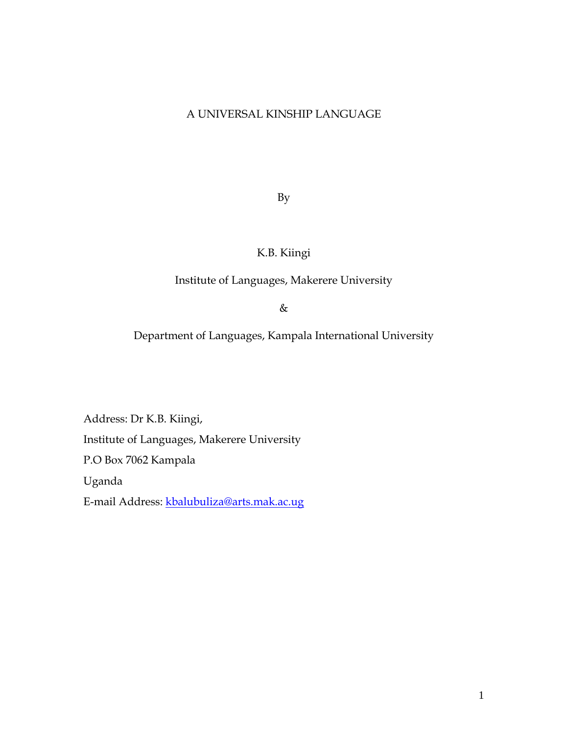## A UNIVERSAL KINSHIP LANGUAGE

By

# K.B. Kiingi

### Institute of Languages, Makerere University

&

Department of Languages, Kampala International University

Address: Dr K.B. Kiingi, Institute of Languages, Makerere University P.O Box 7062 Kampala Uganda E-mail Address: [kbalubuliza@arts.mak.ac.ug](mailto:kbalubuliza@arts.mak.ac.ug)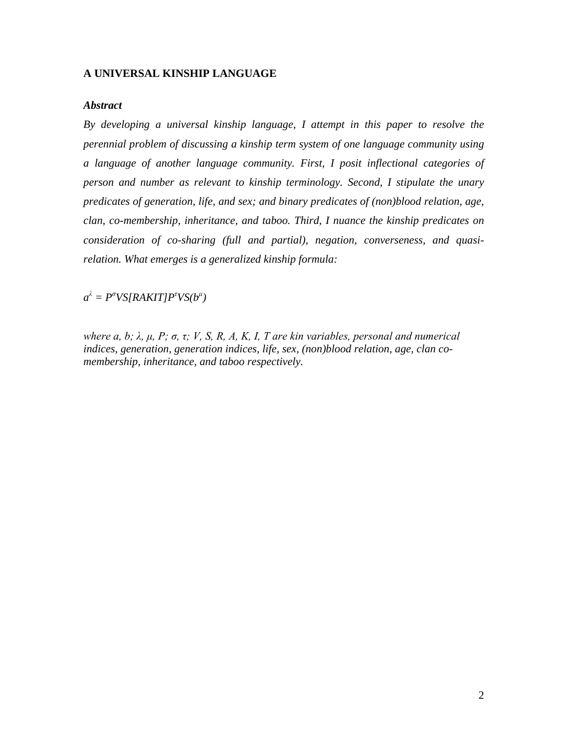#### **A UNIVERSAL KINSHIP LANGUAGE**

#### *Abstract*

*By developing a universal kinship language, I attempt in this paper to resolve the perennial problem of discussing a kinship term system of one language community using a language of another language community. First, I posit inflectional categories of person and number as relevant to kinship terminology. Second, I stipulate the unary predicates of generation, life, and sex; and binary predicates of (non)blood relation, age, clan, co-membership, inheritance, and taboo. Third, I nuance the kinship predicates on consideration of co-sharing (full and partial), negation, converseness, and quasirelation. What emerges is a generalized kinship formula:*

 $a^{\lambda} = P^{\sigma}VS[RAKIT]P^{\tau}VS(b^{\mu})$ 

*where a, b; λ, μ, P; σ, τ; V, S, R, A, K, I, T are kin variables, personal and numerical indices, generation, generation indices, life, sex, (non)blood relation, age, clan comembership, inheritance, and taboo respectively.*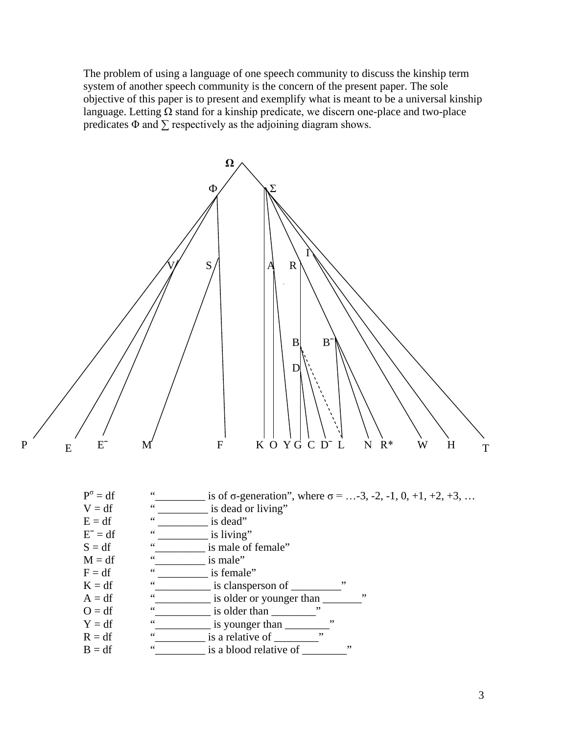The problem of using a language of one speech community to discuss the kinship term system of another speech community is the concern of the present paper. The sole objective of this paper is to present and exemplify what is meant to be a universal kinship language. Letting  $\Omega$  stand for a kinship predicate, we discern one-place and two-place predicates  $\Phi$  and  $\sum$  respectively as the adjoining diagram shows.

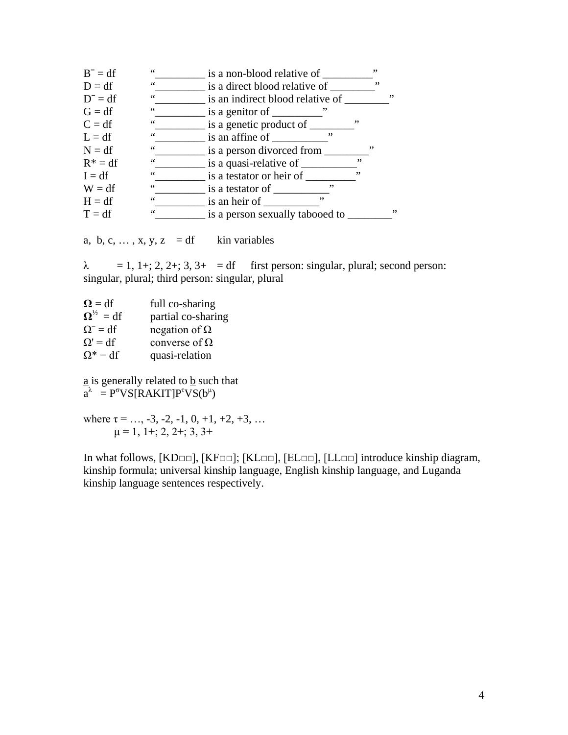| $B^- = df$ | $\zeta$ $\zeta$ | is a non-blood relative of       |    | ,, |    |
|------------|-----------------|----------------------------------|----|----|----|
| $D = df$   | 66              | is a direct blood relative of    |    | ,, |    |
| $D^- = df$ | 66              | is an indirect blood relative of |    |    | ,, |
| $G = df$   | 66              | ,,<br>is a genitor of ______     |    |    |    |
| $C = df$   | $\,66$          | is a genetic product of          | ,, |    |    |
| $L = df$   | $\,66$          | ,,<br>is an affine of            |    |    |    |
| $N = df$   | $\leq \leq$     | is a person divorced from _      | ,, |    |    |
| $R^* = df$ | $\mbox{\bf 6}$  | is a quasi-relative of           | ,, |    |    |
| $I = df$   | $\mbox{\bf 6}$  | is a testator or heir of         | ,, |    |    |
| $W = df$   | $\mbox{\bf 6}$  | ,,<br>is a testator of           |    |    |    |
| $H = df$   | $\leq \leq$     | ,,<br>is an heir of              |    |    |    |
| $T = df$   | $\leq \leq$     | is a person sexually tabooed to  |    |    | ,, |
|            |                 |                                  |    |    |    |

a, b, c,  $\dots$ , x, y, z = df kin variables

 $\lambda$  = 1, 1+; 2, 2+; 3, 3+ = df first person: singular, plural; second person: singular, plural; third person: singular, plural

 $\Omega = df$  full co-sharing<br> $\Omega^{1/2} = df$  partial co-shari  $\Omega^{1/2} = df$  partial co-sharing<br>  $\Omega^- = df$  negation of  $\Omega$ negation of  $\Omega$  $\Omega' = df$  converse of  $\Omega$  $\Omega^* = df$  quasi-relation

a is generally related to **b** such that  $a^{\lambda} = P^{\sigma}VS[RAKIT]P^{\tau}VS(b^{\mu})$ 

where  $\tau = \ldots, -3, -2, -1, 0, +1, +2, +3, \ldots$  $\mu = 1, 1 + 2, 2 + 3, 3 +$ 

In what follows, [KD□□], [KF□□]; [KL□□], [EL□□], [LL□□] introduce kinship diagram, kinship formula; universal kinship language, English kinship language, and Luganda kinship language sentences respectively.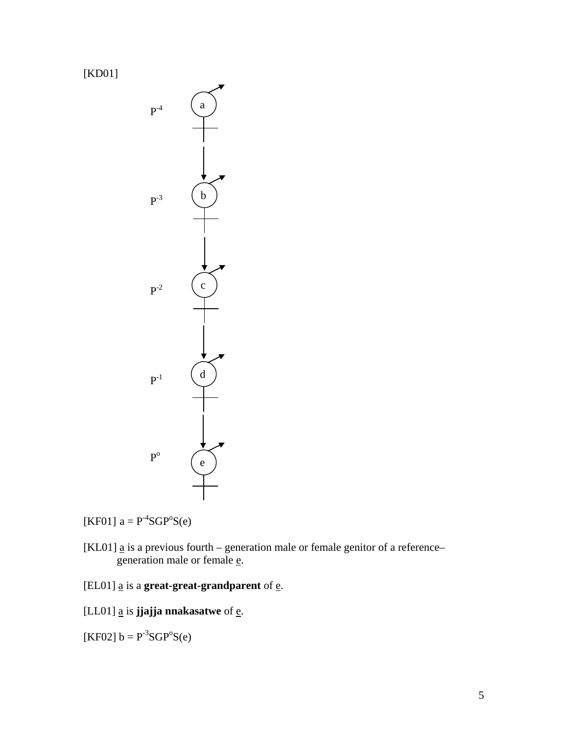[KD01]



[KF01]  $a = P^{-4}SGP^{\circ}S(e)$ 

- [KL01]  $\underline{a}$  is a previous fourth generation male or female genitor of a reference– generation male or female e.
- [EL01]  $\underline{a}$  is a **great-great-grandparent** of  $\underline{e}$ .
- [LL01] <u>a</u> is **jjajja nnakasatwe** of <u>e</u>.

[KF02]  $b = P^{-3}SGP^{o}S(e)$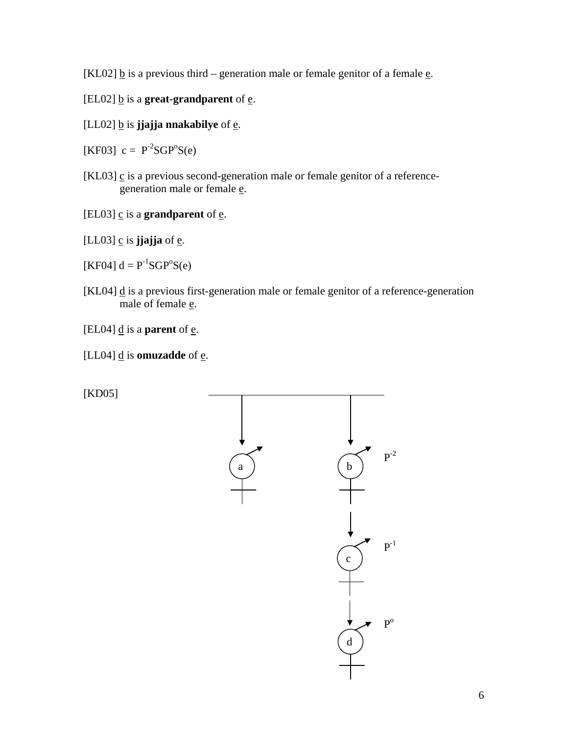[KL02]  $\underline{b}$  is a previous third – generation male or female genitor of a female  $\underline{e}$ .

- [EL02]  $\underline{b}$  is a **great-grandparent** of  $\underline{e}$ .
- $[LL02]$  <u>b</u> is **jjajja** nnakabilye of  $\underline{e}$ .

[KF03]  $c = P^2SGP^oS(e)$ 

- [KL03]  $\leq$  is a previous second-generation male or female genitor of a referencegeneration male or female e.
- [EL03]  $c$  is a **grandparent** of  $e$ .

 $[LL03]$   $\underline{c}$  is **jjajja** of  $\underline{e}$ .

[KF04]  $d = P^{-1}SGP^{\circ}S(e)$ 

- [KL04]  $\mathbf{d}$  is a previous first-generation male or female genitor of a reference-generation male of female **e**.
- [EL04]  $\underline{d}$  is a **parent** of  $\underline{e}$ .
- [LL04]  $\underline{d}$  is **omuzadde** of  $\underline{e}$ .

[KD05]

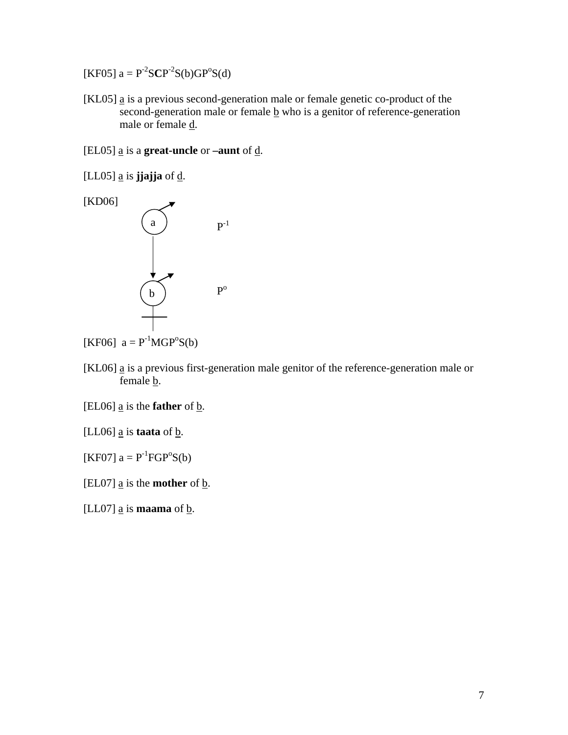$[KF05]$  a =  $P^{-2}SCP^{-2}S(b)GP^{o}S(d)$ 

[KL05]  $\underline{a}$  is a previous second-generation male or female genetic co-product of the second-generation male or female  $\underline{b}$  who is a genitor of reference-generation male or female d.

[EL05] a is a **great-uncle** or **–aunt** of d.

[LL05]  $\underline{a}$  is **jjajja** of  $\underline{d}$ .



[KF06]  $a = P^{-1}MGP^{\circ}S(b)$ 

- [KL06] a is a previous first-generation male genitor of the reference-generation male or female b.
- [EL06]  $\underline{a}$  is the **father** of  $\underline{b}$ .
- [LL06]  $\underline{a}$  is **taata** of  $\underline{b}$ .

[KF07]  $a = P^{-1}FGP^{o}S(b)$ 

[EL07]  $\underline{a}$  is the **mother** of  $\underline{b}$ .

[LL07]  $\underline{a}$  is **maama** of  $\underline{b}$ .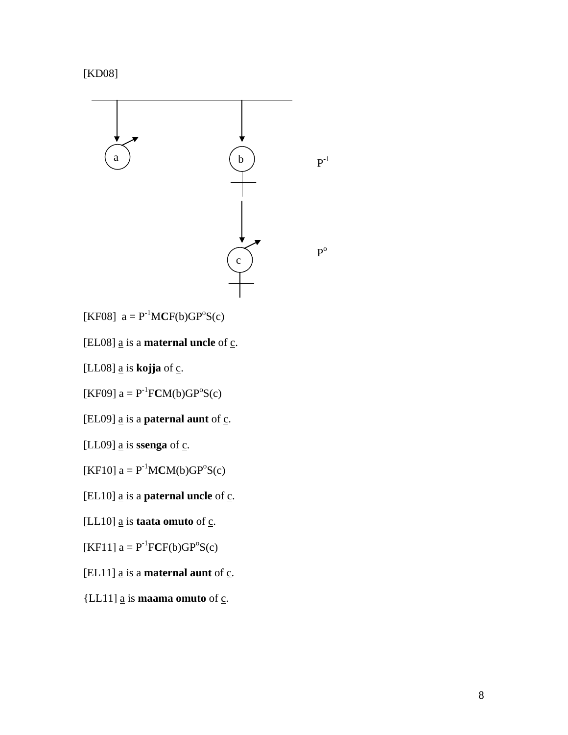

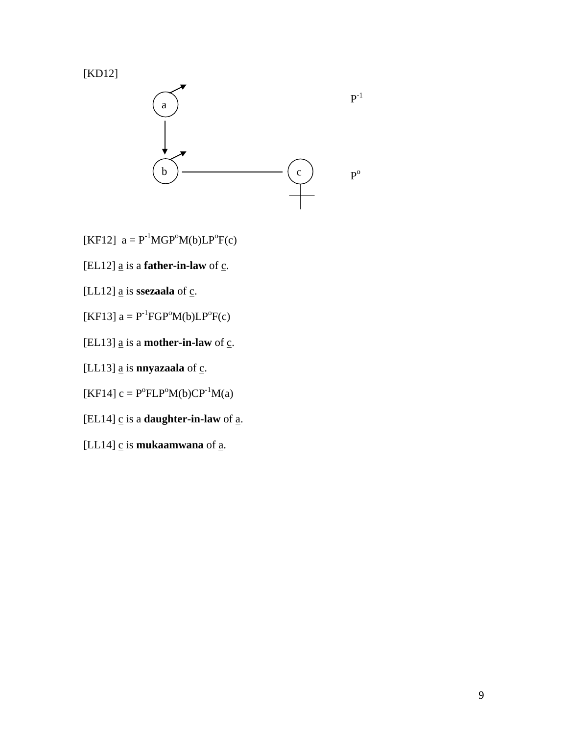



- [KF12]  $a = P^{-1}MGP^{\circ}M(b)LP^{\circ}F(c)$
- [EL12]  $\underline{a}$  is a **father-in-law** of  $\underline{c}$ .
- [LL12]  $\underline{a}$  is **ssezaala** of  $\underline{c}$ .
- [KF13]  $a = P^{-1}FGP^{o}M(b)LP^{o}F(c)$
- [EL13]  $\underline{a}$  is a **mother-in-law** of  $\underline{c}$ .
- [LL13]  $\underline{a}$  is **nnyazaala** of  $\underline{c}$ .
- [KF14]  $c = P^{\circ} F L P^{\circ} M(b) C P^{-1} M(a)$
- [EL14]  $\leq$  is a **daughter-in-law** of  $\underline{a}$ .
- [LL14]  $\underline{c}$  is **mukaamwana** of  $\underline{a}$ .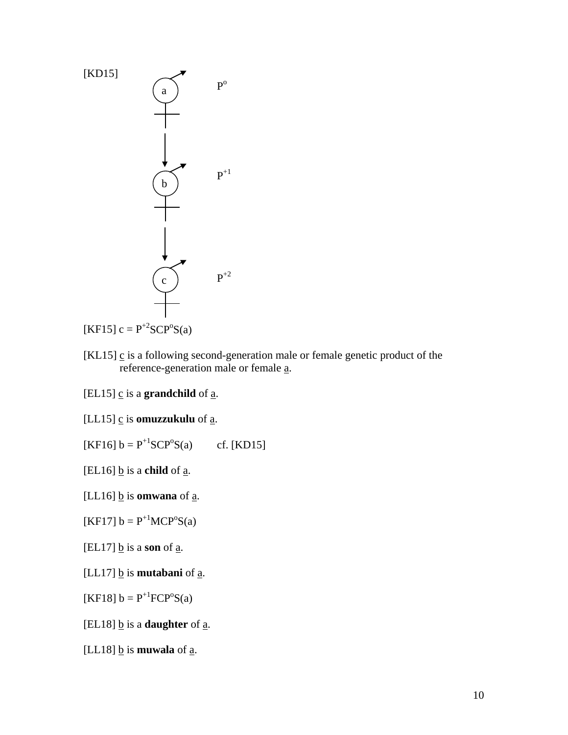

[KL15]  $\leq$  is a following second-generation male or female genetic product of the reference-generation male or female a.

[EL15]  $\leq$  is a **grandchild** of  $\leq$ .

[LL15] c is **omuzzukulu** of a.

[KF16]  $b = P^{+1}SCP^{0}S(a)$ cf. [KD15]

 $[EL16]$  <u>b</u> is a **child** of <u>a</u>.

[LL16]  $\underline{b}$  is **omwana** of  $\underline{a}$ .

[KF17]  $b = P^{+1}MCP^{o}S(a)$ 

 $[EL17]$  <u>b</u> is a **son** of  $\underline{a}$ .

[LL17]  $\underline{b}$  is **mutabani** of  $\underline{a}$ .

[KF18]  $b = P^{+1} FCP^{0}S(a)$ 

[EL18]  $\underline{b}$  is a **daughter** of  $\underline{a}$ .

[LL18]  $\underline{b}$  is **muwala** of  $\underline{a}$ .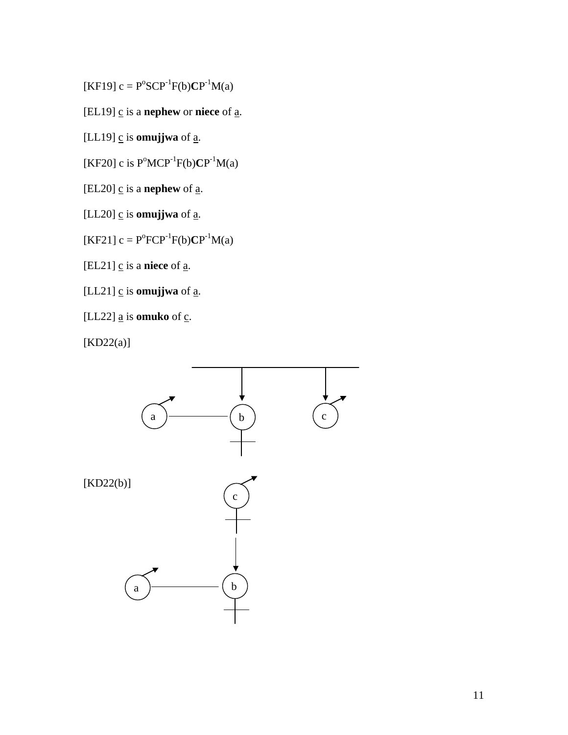$[KF19] c = P^{\circ}SCP^{-1}F(b)CP^{-1}M(a)$ 

[EL19]  $\underline{c}$  is a **nephew** or **niece** of  $\underline{a}$ .

[LL19]  $\underline{c}$  is **omujjwa** of  $\underline{a}$ .

[KF20] c is  $P^{\circ}MCP^{-1}F(b)CP^{-1}M(a)$ 

[EL20]  $\underline{c}$  is a **nephew** of  $\underline{a}$ .

[LL20]  $\leq$  is **omujjwa** of  $\underline{a}$ .

 $[KF21] c = P^{o}FCP^{-1}F(b)CP^{-1}M(a)$ 

 $[EL21]$   $\underline{c}$  is a **niece** of  $\underline{a}$ .

[LL21]  $\underline{c}$  is **omujjwa** of  $\underline{a}$ .

[LL22]  $\underline{a}$  is **omuko** of  $\underline{c}$ .

[KD22(a)]

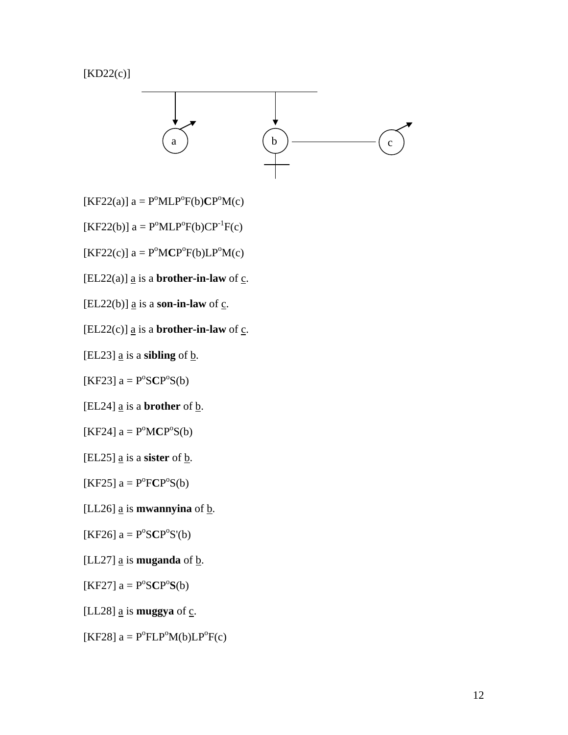[KD22(c)]



 $[KF22(a)]$  a =  $P^{\circ}MLP^{\circ}F(b)CP^{\circ}M(c)$ 

 $[KF22(b)]$  a =  $P^{\circ}MLP^{\circ}F(b)CP^{-1}F(c)$ 

 $[KF22(c)]$  a =  $P^{\circ}MCP^{\circ}F(b)LP^{\circ}M(c)$ 

[EL22(a)]  $\underline{a}$  is a **brother-in-law** of  $\underline{c}$ .

[EL22(b)]  $\underline{a}$  is a **son-in-law** of  $\underline{c}$ .

[EL22(c)]  $\underline{a}$  is a **brother-in-law** of  $\underline{c}$ .

[EL23]  $\underline{a}$  is a **sibling** of  $\underline{b}$ .

 $[KF23]$  a =  $P^{\circ}SCP^{\circ}S(b)$ 

[EL24]  $\underline{a}$  is a **brother** of  $\underline{b}$ .

 $[KF24]$  a =  $P^{\circ}MCP^{\circ}S(b)$ 

 $[EL25]$  <u>a</u> is a **sister** of **b**.

 $[KF25]$  a =  $P^{\circ}FCP^{\circ}S(b)$ 

[LL26]  $\underline{a}$  is **mwannyina** of  $\underline{b}$ .

 $[KF26]$  a =  $P^{\circ}SCP^{\circ}S'(b)$ 

[LL27]  $\underline{a}$  is **muganda** of  $\underline{b}$ .

 $[KF27]$  a =  $P^{\circ}SCP^{\circ}S(b)$ 

[LL28]  $\underline{a}$  is **muggya** of  $\underline{c}$ .

[KF28]  $a = P^{\circ} F L P^{\circ} M(b) L P^{\circ} F(c)$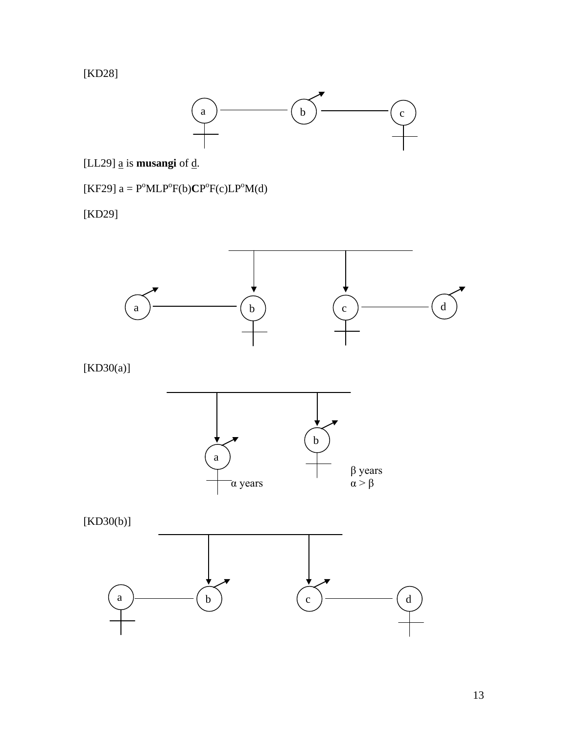[KD28]



[LL29]  $\underline{a}$  is **musangi** of  $\underline{d}$ .

 $[KF29]$  a =  $P^{\circ}MLP^{\circ}F(b)CP^{\circ}F(c)LP^{\circ}M(d)$ 

[KD29]



[KD30(a)]



[KD30(b)]

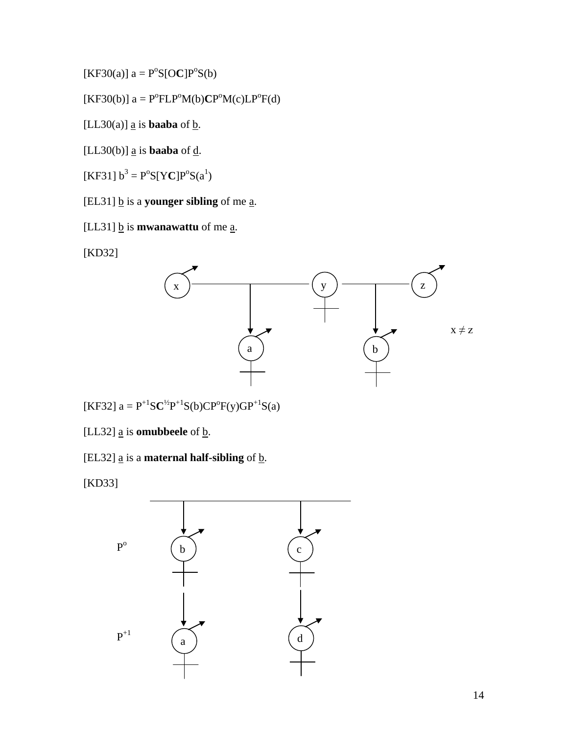$[KF30(a)]$  a =  $P^{\circ}S[OC]P^{\circ}S(b)$ 

$$
[\text{KF30(b)}] a = P^{\circ} \text{FLP}^{\circ} \text{M(b)} \text{CP}^{\circ} \text{M(c)} \text{LP}^{\circ} \text{F(d)}
$$

[LL30(a)]  $\underline{a}$  is **baaba** of  $\underline{b}$ .

[LL30(b)]  $\underline{a}$  is **baaba** of  $\underline{d}$ .

 $[KF31] b<sup>3</sup> = P<sup>o</sup>S[YC]P<sup>o</sup>S(a<sup>1</sup>)$ 

[EL31]  $\underline{b}$  is a **younger** sibling of me  $\underline{a}$ .

[LL31]  $\underline{b}$  is **mwanawattu** of me <u>a</u>.

[KD32]



 $[KF32]$  a =  $P^{+1}SC^{1/2}P^{+1}S(b)CP^{0}F(y)GP^{+1}S(a)$ 

[LL32]  $\underline{a}$  is **omubbeele** of  $\underline{b}$ .

[EL32]  $\underline{a}$  is a **maternal half-sibling** of  $\underline{b}$ .

[KD33]

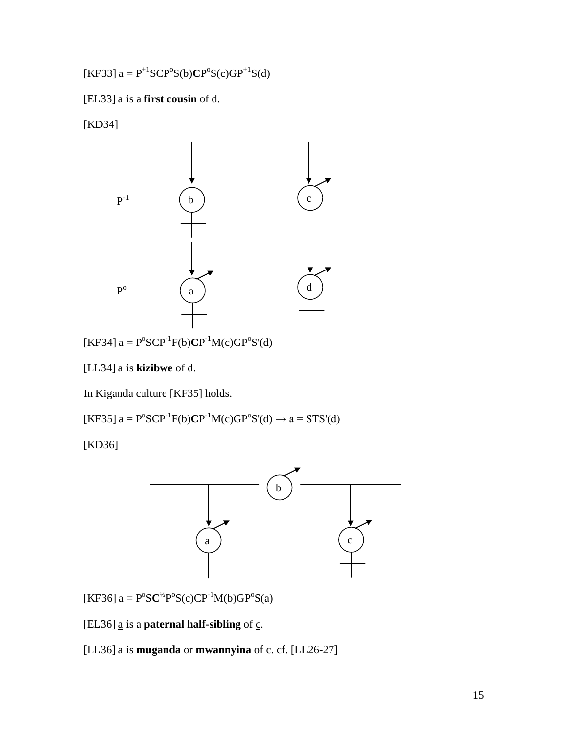$[KF33]$  a =  $P^{+1}SCP^{0}S(b)CP^{0}S(c)GP^{+1}S(d)$ 

[EL33]  $\underline{a}$  is a **first cousin** of  $\underline{d}$ .

[KD34]



 $[KF34]$  a =  $P^{o}SCP^{-1}F(b)CP^{-1}M(c)GP^{o}S'(d)$ 

[LL34] a is **kizibwe** of d.

In Kiganda culture [KF35] holds.

 $[KF35]$  a =  $P^{o}SCP^{-1}F(b)CP^{-1}M(c)GP^{o}S'(d) \rightarrow a = STS'(d)$ 

[KD36]



 $[KF36]$  a =  $P^{o}SC^{\frac{1}{2}}P^{o}S(c)CP^{-1}M(b)GP^{o}S(a)$ 

[EL36]  $\underline{a}$  is a **paternal half-sibling** of  $\underline{c}$ .

[LL36]  $\underline{a}$  is **muganda** or **mwannyina** of  $\underline{c}$ . cf. [LL26-27]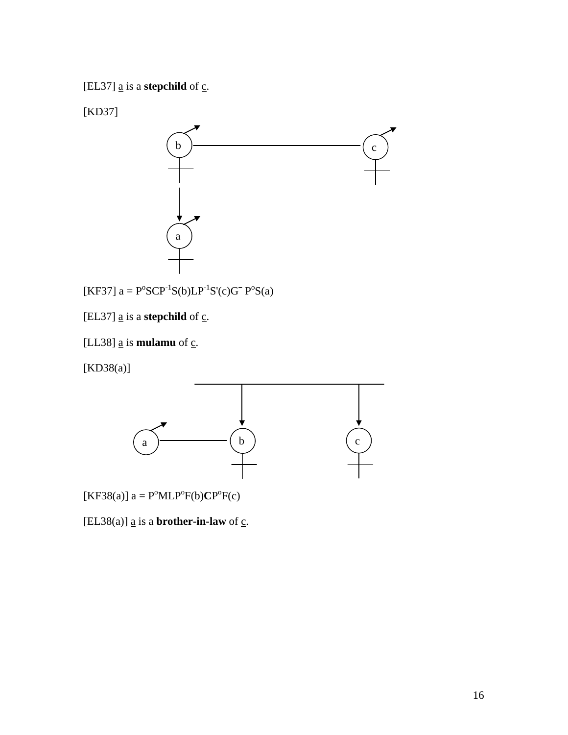[EL37]  $\underline{a}$  is a **stepchild** of  $\underline{c}$ .

[KD37]



[KF37]  $a = P^{\circ}SCP^{-1}S(b)LP^{-1}S'(c)G^{-}P^{\circ}S(a)$ 

[EL37]  $\underline{a}$  is a **stepchild** of  $\underline{c}$ .

[LL38]  $\underline{a}$  is **mulamu** of  $\underline{c}$ .

[KD38(a)]



 $[KF38(a)]$  a =  $P^{\circ}MLP^{\circ}F(b)CP^{\circ}F(c)$ 

[EL38(a)]  $\underline{a}$  is a **brother-in-law** of  $\underline{c}$ .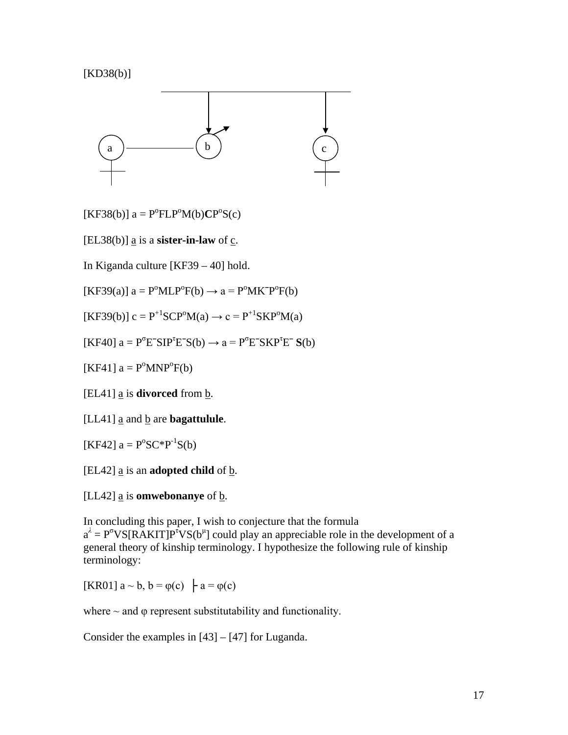### [KD38(b)]



 $[KF38(b)]$  a =  $P^{o}FLP^{o}M(b)CP^{o}S(c)$ 

[EL38(b)]  $\underline{a}$  is a **sister-in-law** of  $\underline{c}$ .

In Kiganda culture [KF39 – 40] hold.

 $[KF39(a)]$  a =  $P^{\circ}MLP^{\circ}F(b) \rightarrow a = P^{\circ}MK^{-}P^{\circ}F(b)$ 

 $[KF39(b)] c = P^{+1}SCP^{0}M(a) \rightarrow c = P^{+1}SKP^{0}M(a)$ 

 $[KF40]$  a =  $P^{\sigma}E^{\sigma}SIP^{\tau}E^{\sigma}S(b) \rightarrow a = P^{\sigma}E^{\sigma}SKP^{\tau}E^{\sigma}S(b)$ 

[KF41]  $a = P^{\circ}MNP^{\circ}F(b)$ 

[EL41] a is **divorced** from b.

[LL41] a and b are **bagattulule**.

[KF42]  $a = P^{\circ}SC^*P^{-1}S(b)$ 

[EL42]  $\underline{a}$  is an **adopted child** of  $\underline{b}$ .

[LL42]  $\underline{a}$  is **omwebonanye** of  $\underline{b}$ .

In concluding this paper, I wish to conjecture that the formula  $a^{\lambda} = P^{\sigma}VS[RAKIT]P^{\tau}VS(b^{\mu}]$  could play an appreciable role in the development of a general theory of kinship terminology. I hypothesize the following rule of kinship terminology:

[KR01]  $a \sim b$ ,  $b = \varphi(c)$   $\vdash a = \varphi(c)$ 

where  $\sim$  and  $\varphi$  represent substitutability and functionality.

Consider the examples in [43] – [47] for Luganda.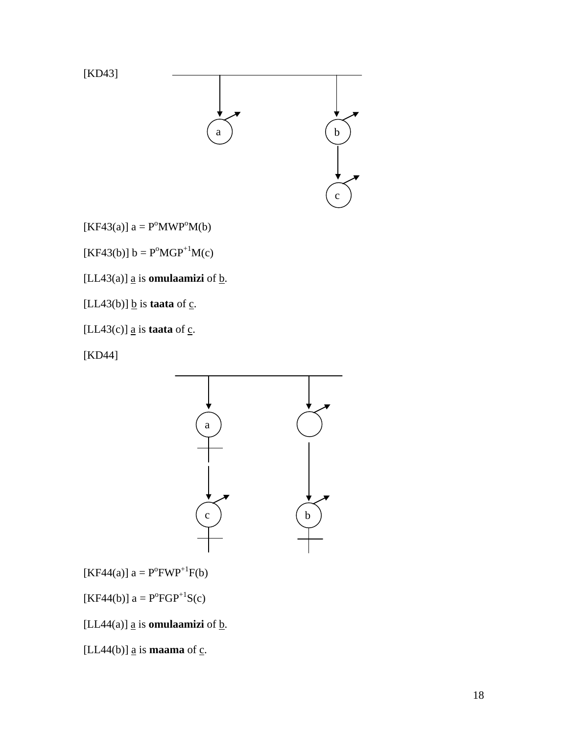

 $[KF43(a)]$  a =  $P^{\circ}MWP^{\circ}M(b)$ 

 $[KF43(b)] b = P^{\circ}MGP^{+1}M(c)$ 

[LL43(a)]  $\underline{a}$  is **omulaamizi** of  $\underline{b}$ .

[LL43(b)]  $\underline{b}$  is **taata** of  $\underline{c}$ .

[LL43(c)]  $\underline{a}$  is **taata** of  $\underline{c}$ .

[KD44]



 $[KF44(a)] a = P^0 F W P^{+1} F(b)$ 

 $[KF44(b)]$  a =  $P^{o}FGP^{+1}S(c)$ 

[LL44(a)]  $\underline{a}$  is **omulaamizi** of  $\underline{b}$ .

[LL44(b)]  $\underline{a}$  is **maama** of  $\underline{c}$ .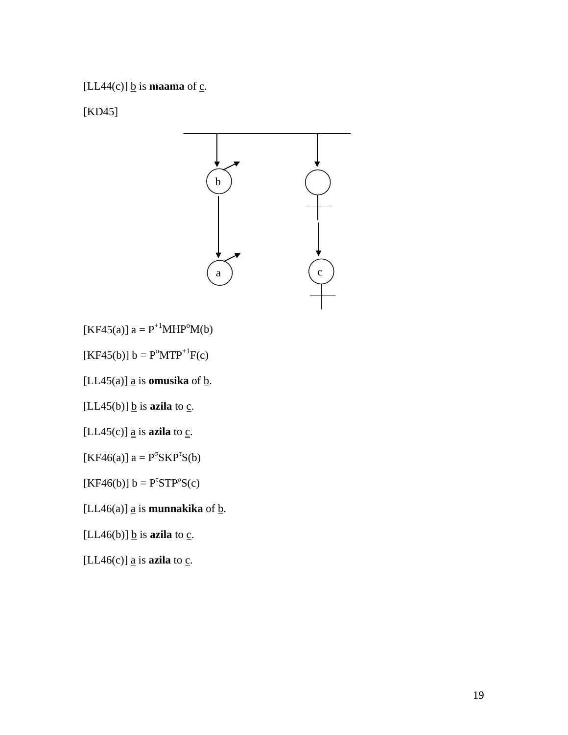[LL44(c)]  $\underline{b}$  is **maama** of  $\underline{c}$ .

[KD45]



 $[KF45(a)]$  a =  $P^{+1}MHP^{0}M(b)$ 

 $[KF45(b)] b = P^{\circ} M T P^{+1} F(c)$ 

[LL45(a)]  $\underline{a}$  is **omusika** of  $\underline{b}$ .

[LL45(b)]  $\underline{b}$  is **azila** to  $\underline{c}$ .

[LL45(c)]  $\underline{a}$  is **azila** to  $\underline{c}$ .

[KF46(a)]  $a = P^{\sigma} S K P^{\tau} S(b)$ 

 $[KF46(b)] b = P^{\tau}STP^{\rho}S(c)$ 

[LL46(a)]  $\underline{a}$  is **munnakika** of  $\underline{b}$ .

[LL46(b)]  $\underline{b}$  is **azila** to  $\underline{c}$ .

[LL46(c)]  $\underline{a}$  is **azila** to  $\underline{c}$ .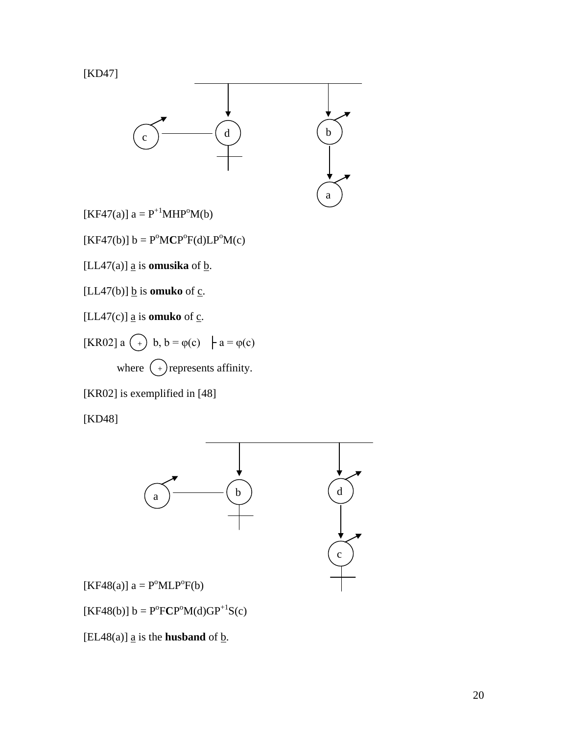



 $[KF47(a)] a = P^{+1}MHP^{0}M(b)$ 

 $[KF47(b)]$  b =  $P^{\circ}MCP^{\circ}F(d)LP^{\circ}M(c)$ 

[LL47(a)]  $\underline{a}$  is **omusika** of  $\underline{b}$ .

[LL47(b)]  $\underline{b}$  is **omuko** of  $\underline{c}$ .

[ $LL47(c)$ ] <u>a</u> is **omuko** of  $c$ .

[KR02] a 
$$
(-)
$$
 b, b =  $\varphi(c)$  | a =  $\varphi(c)$   
where  $(-)$  represents affinity.

[KR02] is exemplified in [48]

[KD48]



 $[KF48(b)]$  b =  $P^{o}FCP^{o}M(d)GP^{+1}S(c)$ 

[EL48(a)]  $\underline{a}$  is the **husband** of  $\underline{b}$ .